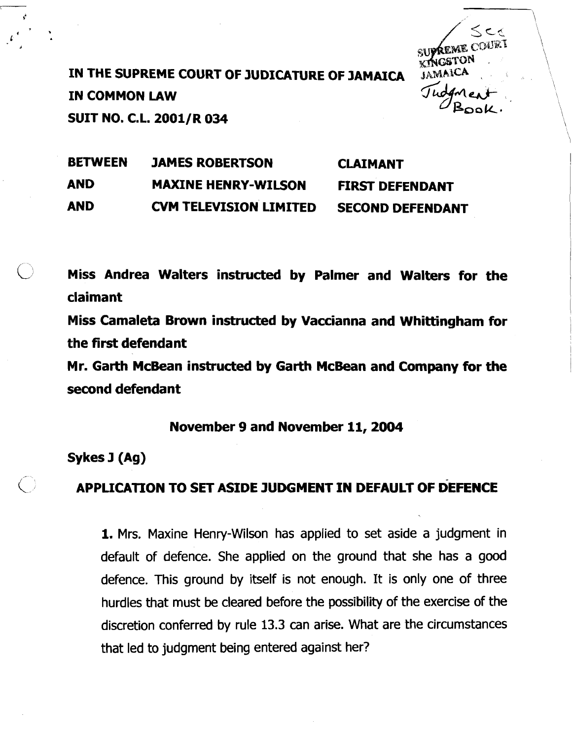IN THE SUPREME COURT OF JUDICATURE OF JAMAICA IN COMMON LAW SUIT NO. C.L. 2001/R 034

SUPREME C

\

BETWEEN JAMES ROBERTSON CLAIMANT AND MAXINE HENRY-WILSON FIRST DEFENDANT AND **CVM** TELEVISION LIMITED SECOND DEFENDANT

b Miss Andrea Walters instructed by Palmer and Walters for the claimant

Miss Camaleta Brown instructed by Vaccianna and Whittingham for the first defendant

Mr. Garth McBean instructed by Garth McBean and Company for the second defendant

## November 9 and November 11,2004

Sykes J (Ag)

## APPLICATION TO SET ASIDE JUDGMENT IN DEFAULT OF DEFENCE

1. Mrs. Maxine Henry-Wilson has applied to set aside a judgment in default of defence. She applied on the ground that she has a good defence. This ground by itself is not enough. It is only one of three hurdles that must be cleared before the possibility of the exercise of the discretion conferred by rule 13.3 can arise. What are the circumstances that led to judgment being entered against her?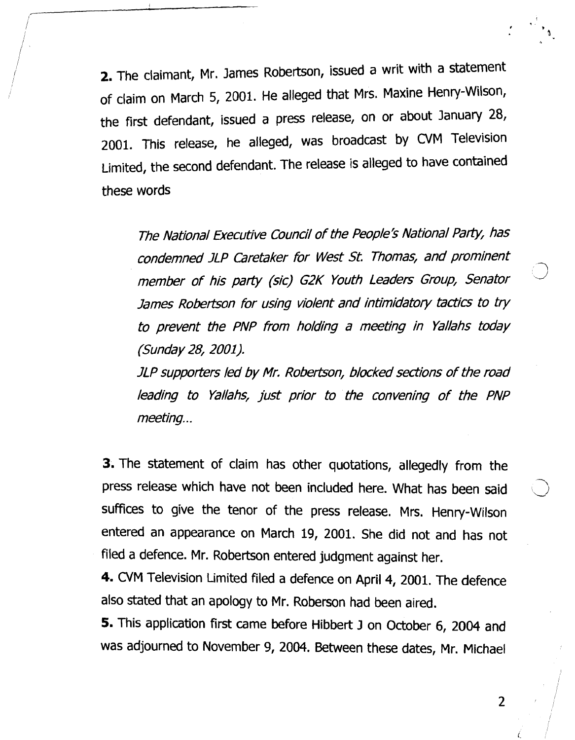2. The claimant, Mr. James Robertson, issued a writ with a statement of claim on March 5, 2001. He alleged that Mrs. Maxine Henry-Wilson, the first defendant, issued a press release, on or about January 28, 2001. This release, he alleged, was broadcast by CVM Television Limited, the second defendant. The release is alleged to have contained these words

The National Executive Council of the People's National Party, has condemned JLP Caretaker for West St. Thomas, and prominent member of his party (sic) G2K Youth Leaders Group, Senator James Robertson for using violent and intimidatory tactics to try to prevent the PNP from holding a meeting in Yallahs today (Sunday 28, 2001).

JLP supporters led by Mr. Robertson, blocked sections of the road leading to Yallahs, just prior to the convening of the PNP meeting...

3. The statement of claim has other quotations, allegedly from the press release which have not been included here. What has been said suffices to give the tenor of the press release. Mrs. Henry-Wilson entered an appearance on March 19, 2001. She did not and has not filed a defence. Mr. Robertson entered judgment against her.

**4.** CVM Television Limited filed **a** defence on April 4, 2001. The defence also stated that an apology to Mr. Roberson had been aired.

**5.** This application first came before Hibbert **3** on October 6, 2004 and was adjourned to November 9, 2004. Between these dates, Mr. Michael

 $\overline{2}$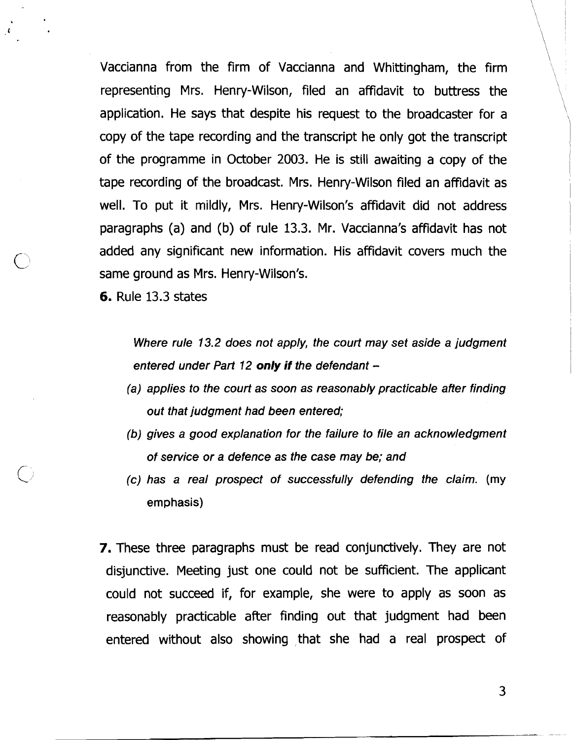Vaccianna from the firm of Vaccianna and Whittingham, the firm \ representing Mrs. Henry-Wilson, filed an affidavit to buttress the \ application. He says that despite his request to the broadcaster for a copy of the tape recording and the transcript he only got the transcript of the programme in October 2003. He is still awaiting a copy of the tape recording of the broadcast. Mrs. Henry-Wilson filed an affidavit as well. To put it mildly, Mrs. Henry-Wilson's affidavit did not address paragraphs (a) and (b) of rule 13.3. Mr. Vaccianna's affidavit has not added any significant new information. His affidavit covers much the same ground as Mrs. Henry-Wilson's.

**6.** Rule 13.3 states

Where rule 13.2 does not apply, the court may set aside a judgment entered under Part 12 only if the defendant  $-$ 

- (a) applies to the court as soon as reasonably practicable after finding out that judgment had been entered;
- (b) gives a good explanation for the failure to file an acknowledgment of service or a defence as the case may be; and
- (c) has a real prospect of successfully defending the claim. **(my emphasis)**

**7.** These three paragraphs must be read conjunctively. They are not disjunctive. Meeting just one could not be sufficient. The applicant could not succeed if, for example, she were to apply as soon as reasonably practicable after finding out that judgment had been entered without also showing that she had a real prospect of  $\setminus$  $\overline{\phantom{0}}$ 

 $\mathbf{I}$ 

\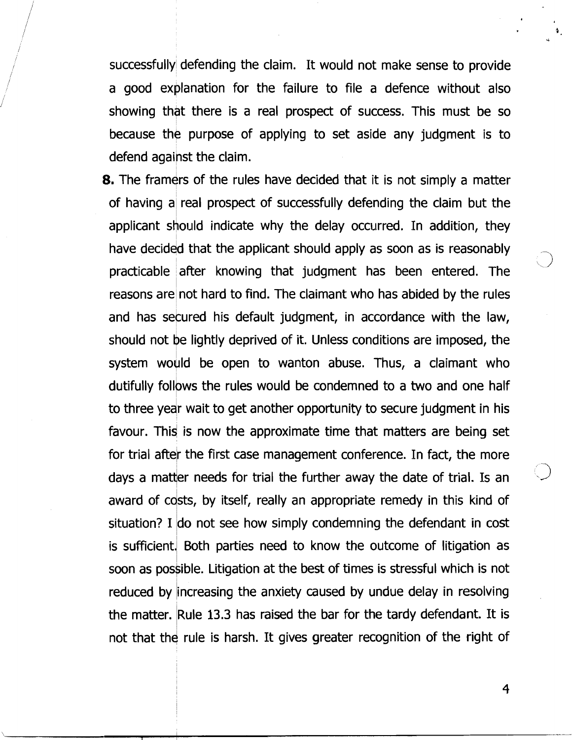successfully defending the claim. It would not make sense to provide a good explanation for the failure to file a defence without also showing that there is a real prospect of success. This must be so because the purpose of applying to set aside any judgment is to defend against the claim.

8. The framers of the rules have decided that it is not simply a matter of having a real prospect of successfully defending the claim but the applicant should indicate why the delay occurred. In addition, they have decided that the applicant should apply as soon as is reasonably practicable after knowing that judgment has been entered. The reasons are not hard to find. The claimant who has abided by the rules and has secured his default judgment, in accordance with the law, should not be lightly deprived of it. Unless conditions are imposed, the system would be open to wanton abuse. Thus, a claimant who dutifully follows the rules would be condemned to a two and one half to three year wait to get another opportunity to secure judgment in his favour. This is now the approximate time that matters are being set for trial after the first case management conference. In fact, the more days a matter needs for trial the further away the date of trial. Is an award of cdsts, by itself, really an appropriate remedy in this kind of situation? I do not see how simply condemning the defendant in cost is sufficient. Both parties need to know the outcome of litigation as soon as possible. Litigation at the best of times is stressful which is not reduced by increasing the anxiety caused by undue delay in resolving the matter. Rule 13.3 has raised the bar for the tardy defendant. It is not that the rule is harsh. It gives greater recognition of the right of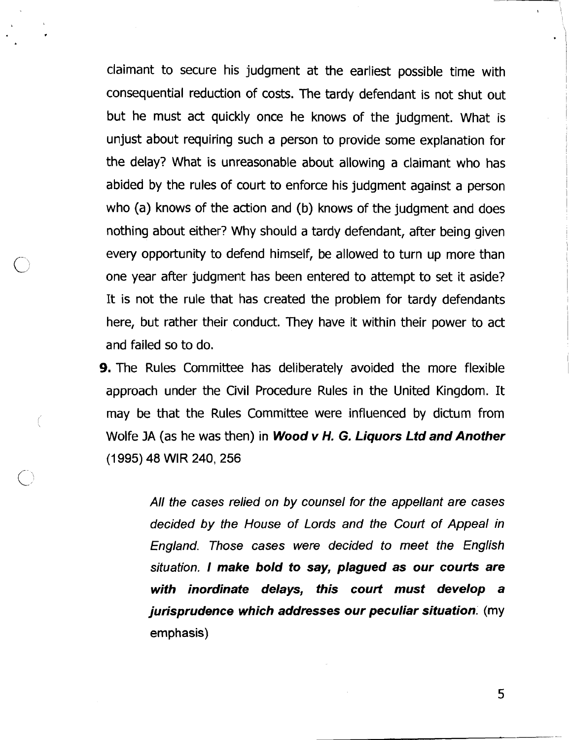claimant to secure his judgment at the earliest possible time with consequential reduction of costs. The tardy defendant is not shut out but he must act quickly once he knows of the judgment. What is unjust about requiring such a person to provide some explanation for the delay? What is unreasonable about allowing a claimant who has abided by the rules of court to enforce his judgment against a person who (a) knows of the action and (b) knows of the judgment and does nothing about either? Why should a tardy defendant, after being given every opportunity to defend himself, be allowed to turn up more than one year after judgment has been entered to attempt to set it aside? It is not the rule that has created the problem for tardy defendants here, but rather their conduct. They have it within their power to act and failed so to do.

**9.** The Rules Committee has deliberately avoided the more flexible approach under the Civil Procedure Rules in the United Kingdom. It may be that the Rules Committee were influenced by dictum from Wolfe JA (as he was then) in **Wood** v H. **G. Liquors Ltd and Another (1 995) 48** WlR **240,256** 

> All the cases relied on by counsel for the appellant are cases decided by the House of Lords and the Court of Appeal in England. Those cases were decided to meet the English situation. **I make bold to say, plagued as our courts are with inordinate delays, this court must develop a jurisprudence which addresses our peculiar situation:** (my emphasis)

> > 5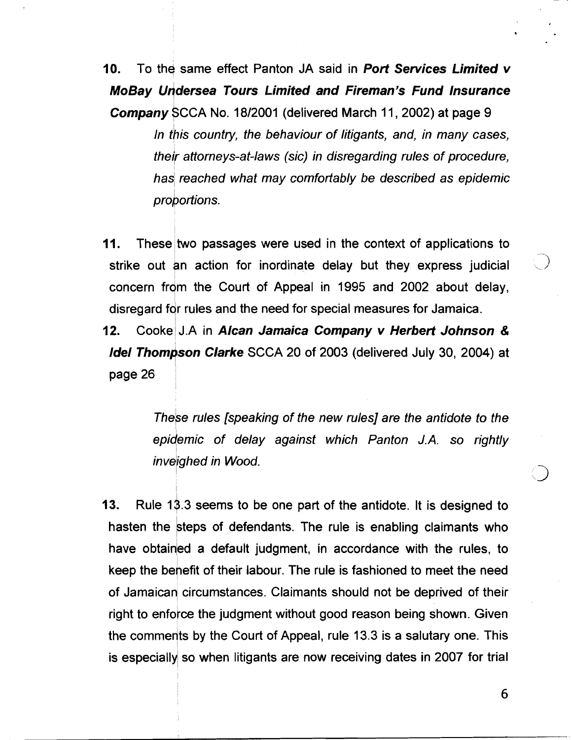**10.** To the same effect Panton JA said in **Port Services Limited v MoBay undersea Tours Limited and Fireman's Fund Insurance Company** SCCA No. 18/2001 (delivered March 11, 2002) at page 9 In this country, the behaviour of litigants, and, in many cases, their attorneys-at-laws (sic) in disregarding rules of procedure, has reached what may comfortably be described as epidemic proportions.

**11.** These two passages were used in the context of applications to strike out an action for inordinate delay but they express judicial concern from the Court of Appeal in 1995 and 2002 about delay, disregard for rules and the need for special measures for Jamaica.

**12.** Cooke J.A in **AIcan Jamaica Company v Herbert Johnson** & **Idel Thompson Clarke** SCCA 20 of 2003 (delivered July 30, 2004) at page 26

> Thebe rules [speaking of the new rules] are the antidote to the epidemic of delay against which Panton J.A. so rightly inveighed in Wood.

**13.** Rule 18.3 seems to be one part of the antidote. It is designed to hasten the steps of defendants. The rule is enabling claimants who have obtained a default judgment, in accordance with the rules, to keep the benefit of their labour. The rule is fashioned to meet the need of Jamaican circumstances. Claimants should not be deprived of their right to enforce the judgment without good reason being shown. Given the comments by the Court of Appeal, rule 13.3 is a salutary one. This is especially so when litigants are now receiving dates in 2007 for trial

6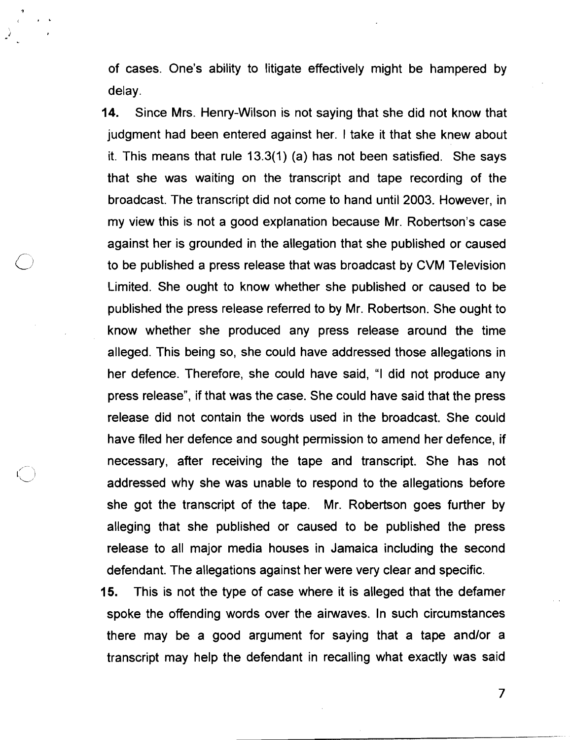of cases. One's ability to litigate effectively might be hampered by delay.

**14.** Since Mrs. Henry-Wilson is not saying that she did not know that judgment had been entered against her. I take it that she knew about it. This means that rule 13.3(1) (a) has not been satisfied. She says that she was waiting on the transcript and tape recording of the broadcast. The transcript did not come to hand until 2003. However, in my view this is not a good explanation because Mr. Robertson's case against her is grounded in the allegation that she published or caused to be published a press release that was broadcast by CVM Television Limited. She ought to know whether she published or caused to be published the press release referred to by Mr. Robertson. She ought to know whether she produced any press release around the time alleged. This being so, she could have addressed those allegations in her defence. Therefore, she could have said, "I did not produce any press release", if that was the case. She could have said that the press release did not contain the words used in the broadcast. She could have filed her defence and sought permission to amend her defence, if necessary, after receiving the tape and transcript. She has not addressed why she was unable to respond to the allegations before she got the transcript of the tape. Mr. Robertson goes further by alleging that she published or caused to be published the press release to all major media houses in Jamaica including the second defendant. The allegations against her were very clear and specific.

**15.** This is not the type of case where it is alleged that the defamer spoke the offending words over the airwaves. In such circumstances there may be a good argument for saying that a tape andlor a transcript may help the defendant in recalling what exactly was said

 $\overline{7}$